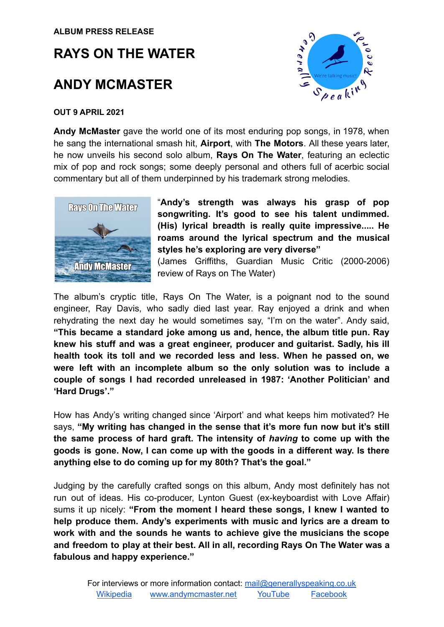# **RAYS ON THE WATER**

## **ANDY MCMASTER**



#### **OUT 9 APRIL 2021**

**Andy McMaster** gave the world one of its most enduring pop songs, in 1978, when he sang the international smash hit, **Airport**, with **The Motors**. All these years later, he now unveils his second solo album, **Rays On The Water**, featuring an eclectic mix of pop and rock songs; some deeply personal and others full of acerbic social commentary but all of them underpinned by his trademark strong melodies.



"**Andy's strength was always his grasp of pop songwriting. It's good to see his talent undimmed. (His) lyrical breadth is really quite impressive..... He roams around the lyrical spectrum and the musical styles he's exploring are very diverse"**

(James Griffiths, Guardian Music Critic (2000-2006) review of Rays on The Water)

The album's cryptic title, Rays On The Water, is a poignant nod to the sound engineer, Ray Davis, who sadly died last year. Ray enjoyed a drink and when rehydrating the next day he would sometimes say, "I'm on the water". Andy said, **"This became a standard joke among us and, hence, the album title pun. Ray knew his stuff and was a great engineer, producer and guitarist. Sadly, his ill health took its toll and we recorded less and less. When he passed on, we were left with an incomplete album so the only solution was to include a couple of songs I had recorded unreleased in 1987: 'Another Politician' and 'Hard Drugs'."**

How has Andy's writing changed since 'Airport' and what keeps him motivated? He says, **"My writing has changed in the sense that it's more fun now but it's still the same process of hard graft. The intensity of** *having* **to come up with the goods is gone. Now, I can come up with the goods in a different way. Is there anything else to do coming up for my 80th? That's the goal."**

Judging by the carefully crafted songs on this album, Andy most definitely has not run out of ideas. His co-producer, Lynton Guest (ex-keyboardist with Love Affair) sums it up nicely: **"From the moment I heard these songs, I knew I wanted to help produce them. Andy's experiments with music and lyrics are a dream to work with and the sounds he wants to achieve give the musicians the scope and freedom to play at their best. All in all, recording Rays On The Water was a fabulous and happy experience."**